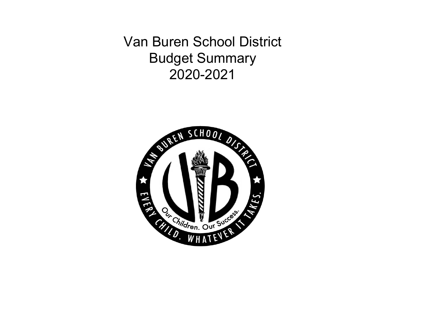Van Buren School District Budget Summary 2020-2021

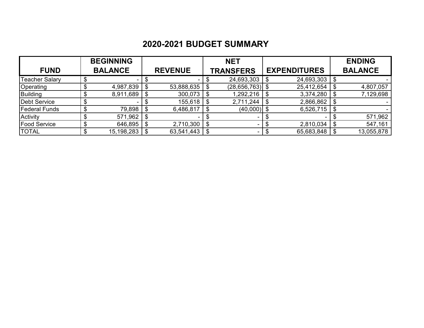# **2020-2021 BUDGET SUMMARY**

|                     | <b>BEGINNING</b> |                | <b>NET</b>                     |                     | <b>ENDING</b>   |
|---------------------|------------------|----------------|--------------------------------|---------------------|-----------------|
| <b>FUND</b>         | <b>BALANCE</b>   | <b>REVENUE</b> | <b>TRANSFERS</b>               | <b>EXPENDITURES</b> | <b>BALANCE</b>  |
| Teacher Salary      |                  |                | 24,693,303                     | 24,693,303          | \$              |
| Operating           | 4,987,839        | 53,888,635     | $(28, 656, 763)$ \$            | 25,412,654          | \$<br>4,807,057 |
| <b>Building</b>     | 8,911,689        | 300,073        | \$<br>1,292,216                | 3,374,280           | \$<br>7,129,698 |
| Debt Service        |                  | 155,618        | \$<br>2,711,244                | 2,866,862           | \$              |
| Federal Funds       | 79,898           | 6,486,817      | \$<br>$(40,000)$ \$            | 6,526,715           | \$              |
| Activity            | 571,962          | н.             |                                | $\sim$              | 571,962         |
| <b>Food Service</b> | 646,895          | 2,710,300      | \$<br>$\overline{\phantom{a}}$ | 2,810,034           | \$<br>547,161   |
| <b>TOTAL</b>        | 15,198,283       | 63,541,443     | ۰                              | 65,683,848          | 13,055,878      |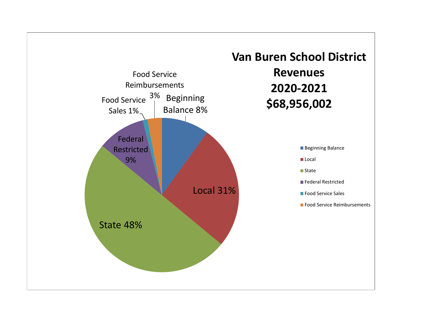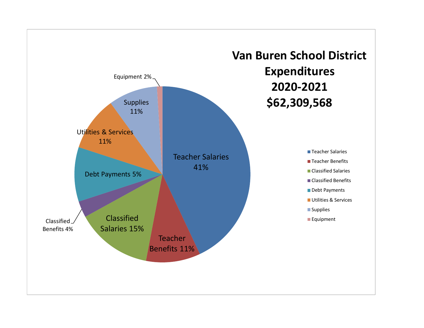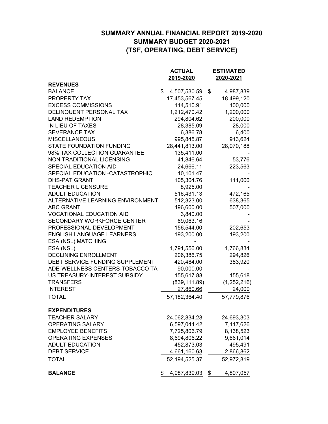### **SUMMARY ANNUAL FINANCIAL REPORT 2019-2020 SUMMARY BUDGET 2020-2021 (TSF, OPERATING, DEBT SERVICE)**

|                                   | <b>ACTUAL</b>              | <b>ESTIMATED</b>      |
|-----------------------------------|----------------------------|-----------------------|
|                                   | 2019-2020                  | 2020-2021             |
| <b>REVENUES</b><br><b>BALANCE</b> | \$                         |                       |
| PROPERTY TAX                      | 4,507,530.59               | \$<br>4,987,839       |
| <b>EXCESS COMMISSIONS</b>         | 17,453,567.45              | 18,499,120<br>100,000 |
| DELINQUENT PERSONAL TAX           | 114,510.91<br>1,212,470.42 | 1,200,000             |
| <b>LAND REDEMPTION</b>            | 294,804.62                 |                       |
| IN LIEU OF TAXES                  | 28,385.09                  | 200,000<br>28,000     |
| <b>SEVERANCE TAX</b>              | 6,386.78                   | 6,400                 |
| <b>MISCELLANEOUS</b>              | 995,845.87                 | 913,624               |
| <b>STATE FOUNDATION FUNDING</b>   | 28,441,813.00              | 28,070,188            |
| 98% TAX COLLECTION GUARANTEE      | 135,411.00                 |                       |
| NON TRADITIONAL LICENSING         | 41,846.64                  | 53,776                |
| <b>SPECIAL EDUCATION AID</b>      | 24,666.11                  | 223,563               |
| SPECIAL EDUCATION -CATASTROPHIC   | 10,101.47                  |                       |
| <b>DHS-PAT GRANT</b>              | 105,304.76                 | 111,000               |
| <b>TEACHER LICENSURE</b>          | 8,925.00                   |                       |
| <b>ADULT EDUCATION</b>            | 516,431.13                 |                       |
| ALTERNATIVE LEARNING ENVIRONMENT  | 512,323.00                 | 472,165<br>638,365    |
| <b>ABC GRANT</b>                  | 496,600.00                 | 507,000               |
| <b>VOCATIONAL EDUCATION AID</b>   | 3,840.00                   |                       |
| <b>SECONDARY WORKFORCE CENTER</b> | 69,063.16                  |                       |
| PROFESSIONAL DEVELOPMENT          | 156,544.00                 | 202,653               |
| <b>ENGLISH LANGUAGE LEARNERS</b>  | 193,200.00                 | 193,200               |
| <b>ESA (NSL) MATCHING</b>         |                            |                       |
| ESA (NSL)                         | 1,791,556.00               | 1,766,834             |
| <b>DECLINING ENROLLMENT</b>       | 206,386.75                 | 294,826               |
| DEBT SERVICE FUNDING SUPPLEMENT   | 420,484.00                 | 383,920               |
| ADE-WELLNESS CENTERS-TOBACCO TA   | 90,000.00                  |                       |
| US TREASURY-INTEREST SUBSIDY      | 155,617.88                 | 155,618               |
| <b>TRANSFERS</b>                  | (839, 111.89)              | (1,252,216)           |
| <b>INTEREST</b>                   | 27,860.66                  | 24,000                |
|                                   |                            |                       |
| <b>TOTAL</b>                      | 57,182,364.40              | 57,779,876            |
| <b>EXPENDITURES</b>               |                            |                       |
| <b>TEACHER SALARY</b>             | 24,062,834.28              | 24,693,303            |
| <b>OPERATING SALARY</b>           | 6,597,044.42               | 7,117,626             |
| <b>EMPLOYEE BENEFITS</b>          | 7,725,806.79               | 8,138,523             |
| <b>OPERATING EXPENSES</b>         | 8,694,806.22               | 9,661,014             |
| <b>ADULT EDUCATION</b>            | 452,873.03                 | 495,491               |
| <b>DEBT SERVICE</b>               | 4,661,160.63               | 2,866,862             |
| TOTAL                             | 52, 194, 525. 37           | 52,972,819            |
| <b>BALANCE</b>                    | \$<br>4,987,839.03         | \$<br>4,807,057       |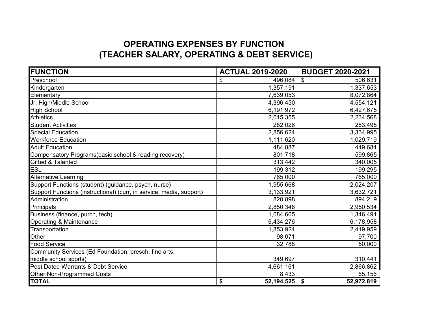## **OPERATING EXPENSES BY FUNCTION (TEACHER SALARY, OPERATING & DEBT SERVICE)**

| <b>FUNCTION</b>                                                      | <b>ACTUAL 2019-2020</b> | <b>BUDGET 2020-2021</b>              |  |  |
|----------------------------------------------------------------------|-------------------------|--------------------------------------|--|--|
| Preschool                                                            | 496,084<br>\$           | $\boldsymbol{\mathsf{S}}$<br>506,631 |  |  |
| Kindergarten                                                         | 1,357,191               | 1,337,653                            |  |  |
| Elementary                                                           | 7,639,053               | 8,072,864                            |  |  |
| Jr. High/Middle School                                               | 4,396,450               | 4,554,121                            |  |  |
| <b>High School</b>                                                   | 6,191,972               | 6,427,675                            |  |  |
| <b>Athletics</b>                                                     | 2,015,355               | 2,234,568                            |  |  |
| <b>Student Activities</b>                                            | 282,026                 | 283,495                              |  |  |
| <b>Special Education</b>                                             | 2,856,624               | 3,334,995                            |  |  |
| <b>Workforce Education</b>                                           | 1,111,620               | 1,029,719                            |  |  |
| <b>Adult Education</b>                                               | 484,887                 | 449,684                              |  |  |
| Compensatory Programs(basic school & reading recovery)               | 801,718                 | 599,865                              |  |  |
| Gifted & Talented                                                    | 313,442                 | 340,005                              |  |  |
| <b>ESL</b>                                                           | 199,312                 | 199,295                              |  |  |
| <b>Alternative Learning</b>                                          | 765,000                 | 765,000                              |  |  |
| Support Functions (student) (guidance, psych, nurse)                 | 1,955,668               | 2,024,207                            |  |  |
| Support Functions (instructional) (curr, in service, media, support) | 3,133,921               | 3,632,721                            |  |  |
| Administration                                                       | 820,898                 | 894,219                              |  |  |
| Principals                                                           | 2,850,348               | 2,950,534                            |  |  |
| Business (finance, purch, tech)                                      | 1,084,605               | 1,346,491                            |  |  |
| Operating & Maintenance                                              | 6,434,276               | 6,178,958                            |  |  |
| Transportation                                                       | 1,853,924               | 2,419,959                            |  |  |
| Other                                                                | 98,071                  | 97,700                               |  |  |
| <b>Food Service</b>                                                  | 32,788                  | 50,000                               |  |  |
| Community Services (Ed Foundation, presch, fine arts,                |                         |                                      |  |  |
| middle school sports)                                                | 349,697                 | 310,441                              |  |  |
| Post Dated Warrants & Debt Service                                   | 4,661,161               | 2,866,862                            |  |  |
| Other Non-Programmed Costs                                           | 8,433                   | 65,156                               |  |  |
| <b>TOTAL</b>                                                         | \$<br>52,194,525        | \$<br>52,972,819                     |  |  |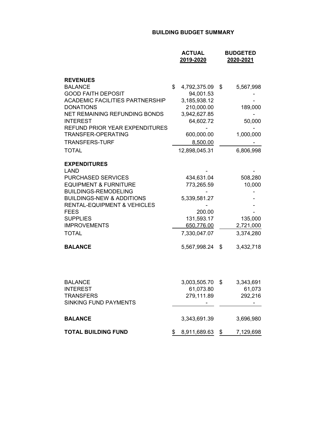#### **BUILDING BUDGET SUMMARY**

|                                                                                                                                                                                                                                                                                                 | <b>ACTUAL</b><br>2019-2020                                                                                                            |          | <b>BUDGETED</b><br>2020-2021                             |
|-------------------------------------------------------------------------------------------------------------------------------------------------------------------------------------------------------------------------------------------------------------------------------------------------|---------------------------------------------------------------------------------------------------------------------------------------|----------|----------------------------------------------------------|
| <b>REVENUES</b><br><b>BALANCE</b><br><b>GOOD FAITH DEPOSIT</b><br><b>ACADEMIC FACILITIES PARTNERSHIP</b><br><b>DONATIONS</b><br>NET REMAINING REFUNDING BONDS<br><b>INTEREST</b><br><b>REFUND PRIOR YEAR EXPENDITURES</b><br><b>TRANSFER-OPERATING</b><br><b>TRANSFERS-TURF</b><br><b>TOTAL</b> | \$<br>4,792,375.09<br>94,001.53<br>3,185,938.12<br>210,000.00<br>3,942,627.85<br>64,602.72<br>600,000.00<br>8,500.00<br>12,898,045.31 | \$       | 5,567,998<br>189,000<br>50,000<br>1,000,000<br>6,806,998 |
| <b>EXPENDITURES</b><br><b>LAND</b><br><b>PURCHASED SERVICES</b><br><b>EQUIPMENT &amp; FURNITURE</b><br><b>BUILDINGS-REMODELING</b><br><b>BUILDINGS-NEW &amp; ADDITIONS</b><br><b>RENTAL-EQUIPMENT &amp; VEHICLES</b><br><b>FEES</b><br><b>SUPPLIES</b><br><b>IMPROVEMENTS</b><br><b>TOTAL</b>   | 434,631.04<br>773,265.59<br>5,339,581.27<br>200.00<br>131,593.17<br>650,776.00<br>7,330,047.07                                        |          | 508,280<br>10,000<br>135,000<br>2,721,000<br>3,374,280   |
| <b>BALANCE</b><br><b>BALANCE</b><br><b>INTEREST</b><br><b>TRANSFERS</b><br><b>SINKING FUND PAYMENTS</b>                                                                                                                                                                                         | 5,567,998.24<br>3,003,505.70<br>61,073.80<br>279,111.89                                                                               | \$<br>\$ | 3,432,718<br>3,343,691<br>61,073<br>292,216              |
| <b>BALANCE</b>                                                                                                                                                                                                                                                                                  | 3,343,691.39                                                                                                                          |          | 3,696,980                                                |
| <b>TOTAL BUILDING FUND</b>                                                                                                                                                                                                                                                                      | \$<br>8,911,689.63                                                                                                                    | \$       | 7,129,698                                                |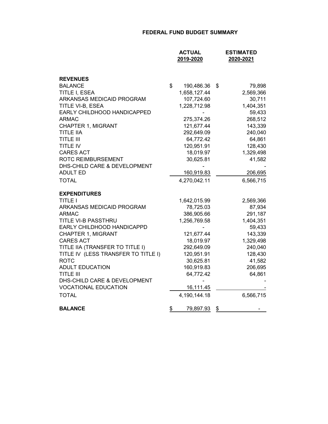#### **FEDERAL FUND BUDGET SUMMARY**

|                                     | <b>ACTUAL</b><br>2019-2020 | <b>ESTIMATED</b><br>2020-2021 |
|-------------------------------------|----------------------------|-------------------------------|
| <b>REVENUES</b>                     |                            |                               |
| <b>BALANCE</b>                      | \$<br>190,486.36           | \$<br>79,898                  |
| TITLE I, ESEA                       | 1,658,127.44               | 2,569,366                     |
| ARKANSAS MEDICAID PROGRAM           | 107,724.60                 | 30,711                        |
| TITLE VI-B, ESEA                    | 1,228,712.98               | 1,404,351                     |
| EARLY CHILDHOOD HANDICAPPED         |                            | 59,433                        |
| <b>ARMAC</b>                        | 275,374.26                 | 268,512                       |
| CHAPTER 1, MIGRANT                  | 121,677.44                 | 143,339                       |
| <b>TITLE IIA</b>                    | 292,649.09                 | 240,040                       |
| <b>TITLE III</b>                    | 64,772.42                  | 64,861                        |
| <b>TITLE IV</b>                     | 120,951.91                 | 128,430                       |
| <b>CARES ACT</b>                    | 18,019.97                  | 1,329,498                     |
| <b>ROTC REIMBURSEMENT</b>           | 30,625.81                  | 41,582                        |
| DHS-CHILD CARE & DEVELOPMENT        |                            |                               |
| <b>ADULT ED</b>                     | 160,919.83                 | 206,695                       |
| <b>TOTAL</b>                        | 4,270,042.11               | 6,566,715                     |
| <b>EXPENDITURES</b>                 |                            |                               |
| TITLE I                             | 1,642,015.99               | 2,569,366                     |
| ARKANSAS MEDICAID PROGRAM           | 78,725.03                  | 87,934                        |
| <b>ARMAC</b>                        | 386,905.66                 | 291,187                       |
| TITLE VI-B PASSTHRU                 | 1,256,769.58               | 1,404,351                     |
| EARLY CHILDHOOD HANDICAPPD          |                            | 59,433                        |
| <b>CHAPTER 1, MIGRANT</b>           | 121,677.44                 | 143,339                       |
| <b>CARES ACT</b>                    | 18,019.97                  | 1,329,498                     |
| TITLE IIA (TRANSFER TO TITLE I)     | 292,649.09                 | 240,040                       |
| TITLE IV (LESS TRANSFER TO TITLE I) | 120,951.91                 | 128,430                       |
| <b>ROTC</b>                         | 30,625.81                  | 41,582                        |
| <b>ADULT EDUCATION</b>              | 160,919.83                 | 206,695                       |
| <b>TITLE III</b>                    | 64,772.42                  | 64,861                        |
| DHS-CHILD CARE & DEVELOPMENT        |                            |                               |
| <b>VOCATIONAL EDUCATION</b>         | 16,111.45                  |                               |
| <b>TOTAL</b>                        | 4,190,144.18               | 6,566,715                     |
| <b>BALANCE</b>                      | \$<br>79,897.93            | \$                            |